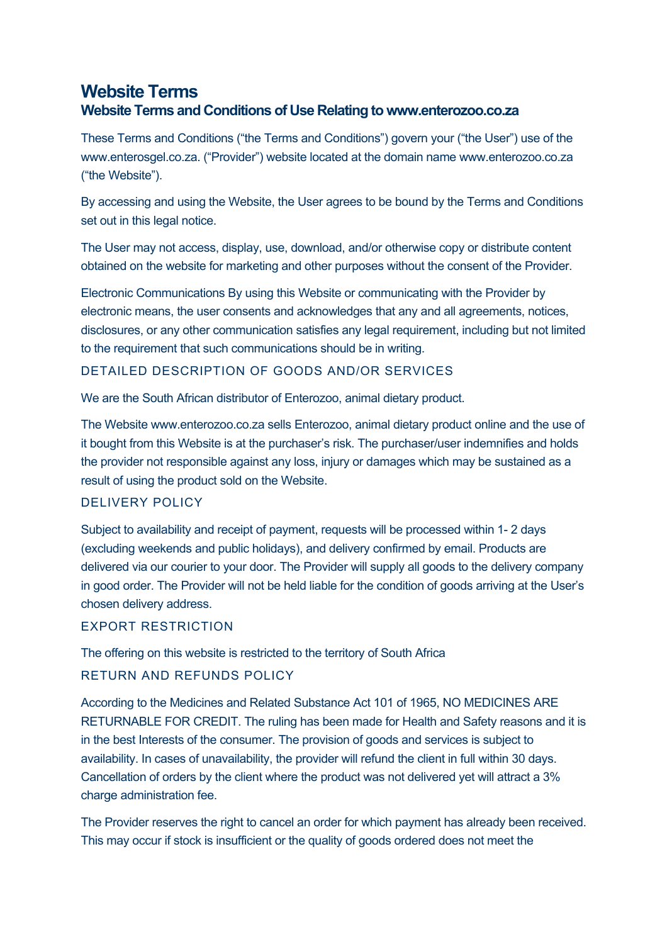# **Website Terms Website Terms and Conditions of Use Relating to www.enterozoo.co.za**

These Terms and Conditions ("the Terms and Conditions") govern your ("the User") use of the www.enterosgel.co.za. ("Provider") website located at the domain name www.enterozoo.co.za ("the Website").

By accessing and using the Website, the User agrees to be bound by the Terms and Conditions set out in this legal notice.

The User may not access, display, use, download, and/or otherwise copy or distribute content obtained on the website for marketing and other purposes without the consent of the Provider.

Electronic Communications By using this Website or communicating with the Provider by electronic means, the user consents and acknowledges that any and all agreements, notices, disclosures, or any other communication satisfies any legal requirement, including but not limited to the requirement that such communications should be in writing.

## DETAILED DESCRIPTION OF GOODS AND/OR SERVICES

We are the South African distributor of Enterozoo, animal dietary product.

The Website www.enterozoo.co.za sells Enterozoo, animal dietary product online and the use of it bought from this Website is at the purchaser's risk. The purchaser/user indemnifies and holds the provider not responsible against any loss, injury or damages which may be sustained as a result of using the product sold on the Website.

### DELIVERY POLICY

Subject to availability and receipt of payment, requests will be processed within 1- 2 days (excluding weekends and public holidays), and delivery confirmed by email. Products are delivered via our courier to your door. The Provider will supply all goods to the delivery company in good order. The Provider will not be held liable for the condition of goods arriving at the User's chosen delivery address.

### EXPORT RESTRICTION

The offering on this website is restricted to the territory of South Africa

### RETURN AND REFUNDS POLICY

According to the Medicines and Related Substance Act 101 of 1965, NO MEDICINES ARE RETURNABLE FOR CREDIT. The ruling has been made for Health and Safety reasons and it is in the best Interests of the consumer. The provision of goods and services is subject to availability. In cases of unavailability, the provider will refund the client in full within 30 days. Cancellation of orders by the client where the product was not delivered yet will attract a 3% charge administration fee.

The Provider reserves the right to cancel an order for which payment has already been received. This may occur if stock is insufficient or the quality of goods ordered does not meet the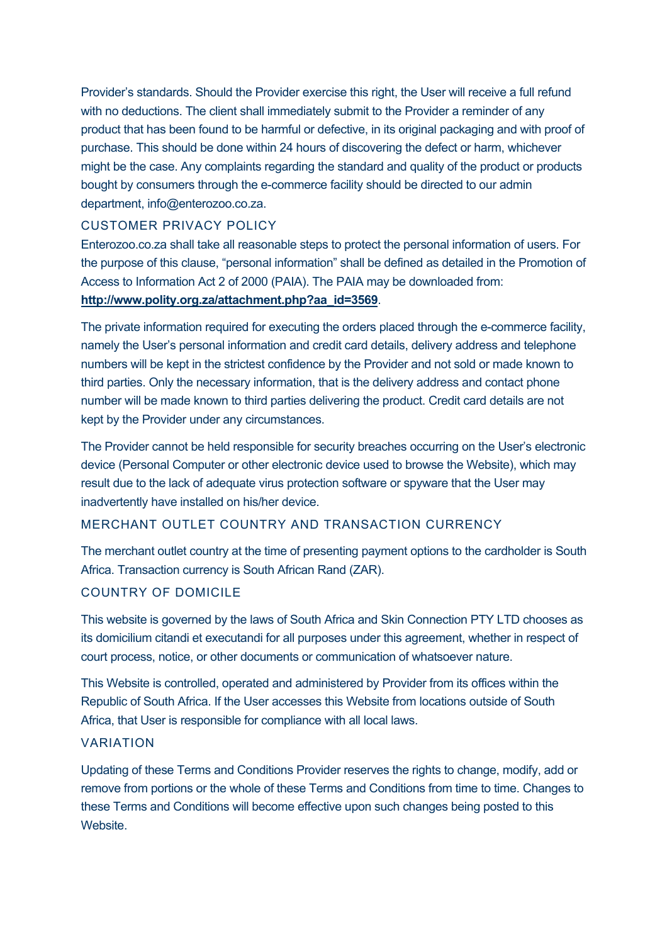Provider's standards. Should the Provider exercise this right, the User will receive a full refund with no deductions. The client shall immediately submit to the Provider a reminder of any product that has been found to be harmful or defective, in its original packaging and with proof of purchase. This should be done within 24 hours of discovering the defect or harm, whichever might be the case. Any complaints regarding the standard and quality of the product or products bought by consumers through the e-commerce facility should be directed to our admin department, info@enterozoo.co.za.

### CUSTOMER PRIVACY POLICY

Enterozoo.co.za shall take all reasonable steps to protect the personal information of users. For the purpose of this clause, "personal information" shall be defined as detailed in the Promotion of Access to Information Act 2 of 2000 (PAIA). The PAIA may be downloaded from: **http://www.polity.org.za/attachment.php?aa\_id=3569**.

The private information required for executing the orders placed through the e-commerce facility, namely the User's personal information and credit card details, delivery address and telephone numbers will be kept in the strictest confidence by the Provider and not sold or made known to third parties. Only the necessary information, that is the delivery address and contact phone number will be made known to third parties delivering the product. Credit card details are not kept by the Provider under any circumstances.

The Provider cannot be held responsible for security breaches occurring on the User's electronic device (Personal Computer or other electronic device used to browse the Website), which may result due to the lack of adequate virus protection software or spyware that the User may inadvertently have installed on his/her device.

### MERCHANT OUTLET COUNTRY AND TRANSACTION CURRENCY

The merchant outlet country at the time of presenting payment options to the cardholder is South Africa. Transaction currency is South African Rand (ZAR).

### COUNTRY OF DOMICILE

This website is governed by the laws of South Africa and Skin Connection PTY LTD chooses as its domicilium citandi et executandi for all purposes under this agreement, whether in respect of court process, notice, or other documents or communication of whatsoever nature.

This Website is controlled, operated and administered by Provider from its offices within the Republic of South Africa. If the User accesses this Website from locations outside of South Africa, that User is responsible for compliance with all local laws.

### VARIATION

Updating of these Terms and Conditions Provider reserves the rights to change, modify, add or remove from portions or the whole of these Terms and Conditions from time to time. Changes to these Terms and Conditions will become effective upon such changes being posted to this **Website**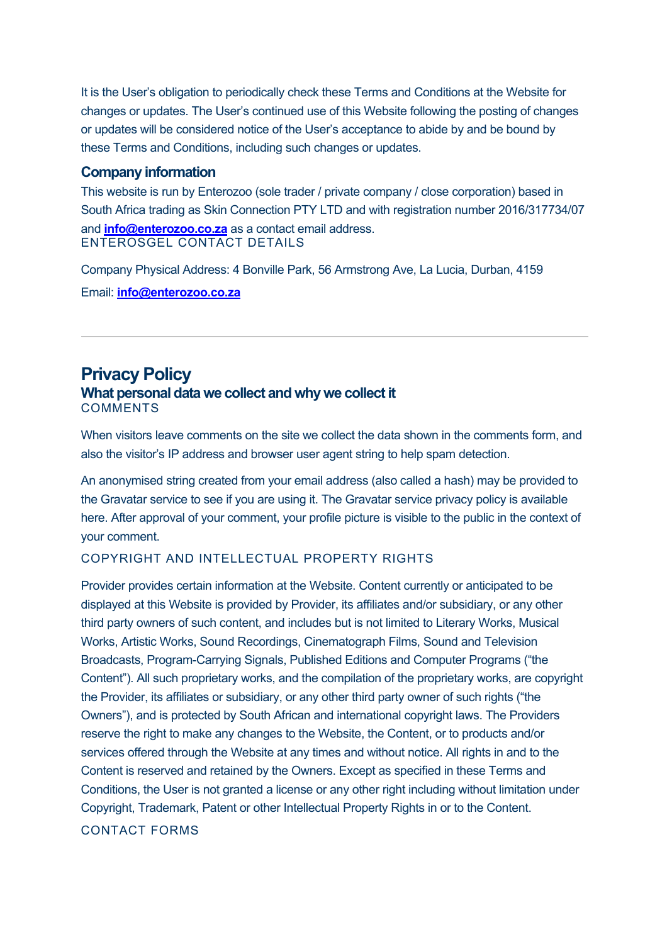It is the User's obligation to periodically check these Terms and Conditions at the Website for changes or updates. The User's continued use of this Website following the posting of changes or updates will be considered notice of the User's acceptance to abide by and be bound by these Terms and Conditions, including such changes or updates.

### **Company information**

This website is run by Enterozoo (sole trader / private company / close corporation) based in South Africa trading as Skin Connection PTY LTD and with registration number 2016/317734/07 and **info@enterozoo.co.za** as a contact email address. ENTEROSGEL CONTACT DETAILS

Company Physical Address: 4 Bonville Park, 56 Armstrong Ave, La Lucia, Durban, 4159 Email: **info@enterozoo.co.za**

## **Privacy Policy What personal data we collect and why we collect it COMMENTS**

When visitors leave comments on the site we collect the data shown in the comments form, and also the visitor's IP address and browser user agent string to help spam detection.

An anonymised string created from your email address (also called a hash) may be provided to the Gravatar service to see if you are using it. The Gravatar service privacy policy is available here. After approval of your comment, your profile picture is visible to the public in the context of your comment.

### COPYRIGHT AND INTELLECTUAL PROPERTY RIGHTS

Provider provides certain information at the Website. Content currently or anticipated to be displayed at this Website is provided by Provider, its affiliates and/or subsidiary, or any other third party owners of such content, and includes but is not limited to Literary Works, Musical Works, Artistic Works, Sound Recordings, Cinematograph Films, Sound and Television Broadcasts, Program-Carrying Signals, Published Editions and Computer Programs ("the Content"). All such proprietary works, and the compilation of the proprietary works, are copyright the Provider, its affiliates or subsidiary, or any other third party owner of such rights ("the Owners"), and is protected by South African and international copyright laws. The Providers reserve the right to make any changes to the Website, the Content, or to products and/or services offered through the Website at any times and without notice. All rights in and to the Content is reserved and retained by the Owners. Except as specified in these Terms and Conditions, the User is not granted a license or any other right including without limitation under Copyright, Trademark, Patent or other Intellectual Property Rights in or to the Content.

### CONTACT FORMS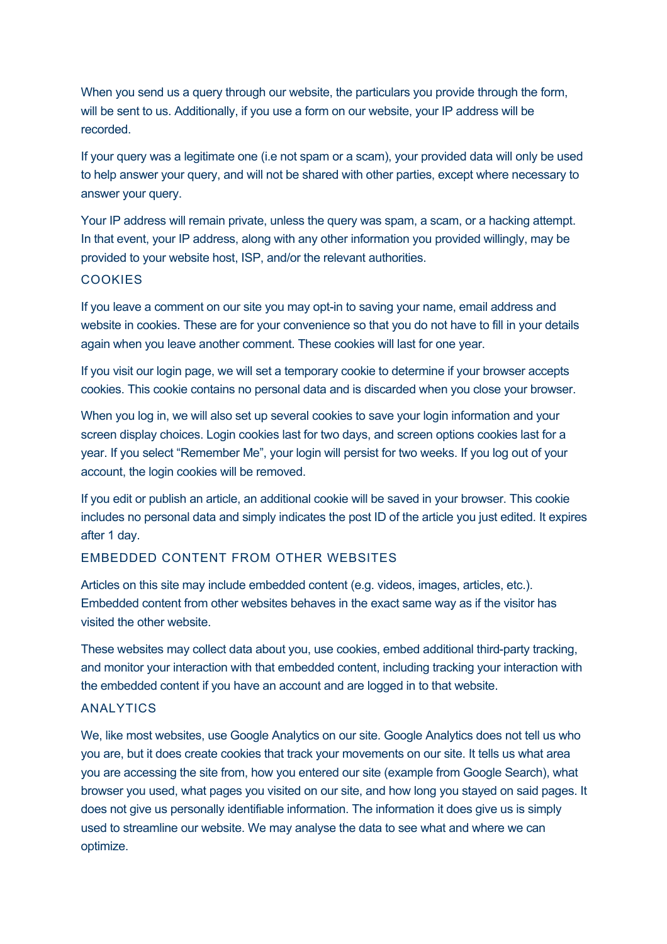When you send us a query through our website, the particulars you provide through the form, will be sent to us. Additionally, if you use a form on our website, your IP address will be recorded.

If your query was a legitimate one (i.e not spam or a scam), your provided data will only be used to help answer your query, and will not be shared with other parties, except where necessary to answer your query.

Your IP address will remain private, unless the query was spam, a scam, or a hacking attempt. In that event, your IP address, along with any other information you provided willingly, may be provided to your website host, ISP, and/or the relevant authorities.

### **COOKIES**

If you leave a comment on our site you may opt-in to saving your name, email address and website in cookies. These are for your convenience so that you do not have to fill in your details again when you leave another comment. These cookies will last for one year.

If you visit our login page, we will set a temporary cookie to determine if your browser accepts cookies. This cookie contains no personal data and is discarded when you close your browser.

When you log in, we will also set up several cookies to save your login information and your screen display choices. Login cookies last for two days, and screen options cookies last for a year. If you select "Remember Me", your login will persist for two weeks. If you log out of your account, the login cookies will be removed.

If you edit or publish an article, an additional cookie will be saved in your browser. This cookie includes no personal data and simply indicates the post ID of the article you just edited. It expires after 1 day.

### EMBEDDED CONTENT FROM OTHER WEBSITES

Articles on this site may include embedded content (e.g. videos, images, articles, etc.). Embedded content from other websites behaves in the exact same way as if the visitor has visited the other website.

These websites may collect data about you, use cookies, embed additional third-party tracking, and monitor your interaction with that embedded content, including tracking your interaction with the embedded content if you have an account and are logged in to that website.

### **ANALYTICS**

We, like most websites, use Google Analytics on our site. Google Analytics does not tell us who you are, but it does create cookies that track your movements on our site. It tells us what area you are accessing the site from, how you entered our site (example from Google Search), what browser you used, what pages you visited on our site, and how long you stayed on said pages. It does not give us personally identifiable information. The information it does give us is simply used to streamline our website. We may analyse the data to see what and where we can optimize.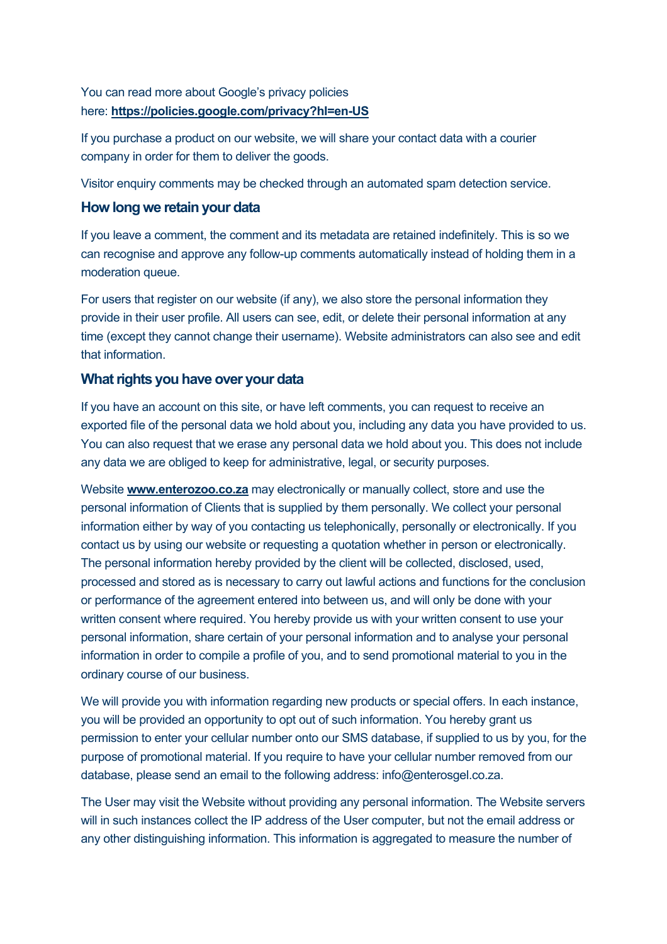## You can read more about Google's privacy policies here: **https://policies.google.com/privacy?hl=en-US**

If you purchase a product on our website, we will share your contact data with a courier company in order for them to deliver the goods.

Visitor enquiry comments may be checked through an automated spam detection service.

### **How long we retain your data**

If you leave a comment, the comment and its metadata are retained indefinitely. This is so we can recognise and approve any follow-up comments automatically instead of holding them in a moderation queue.

For users that register on our website (if any), we also store the personal information they provide in their user profile. All users can see, edit, or delete their personal information at any time (except they cannot change their username). Website administrators can also see and edit that information.

## **What rights you have over your data**

If you have an account on this site, or have left comments, you can request to receive an exported file of the personal data we hold about you, including any data you have provided to us. You can also request that we erase any personal data we hold about you. This does not include any data we are obliged to keep for administrative, legal, or security purposes.

Website **www.enterozoo.co.za** may electronically or manually collect, store and use the personal information of Clients that is supplied by them personally. We collect your personal information either by way of you contacting us telephonically, personally or electronically. If you contact us by using our website or requesting a quotation whether in person or electronically. The personal information hereby provided by the client will be collected, disclosed, used, processed and stored as is necessary to carry out lawful actions and functions for the conclusion or performance of the agreement entered into between us, and will only be done with your written consent where required. You hereby provide us with your written consent to use your personal information, share certain of your personal information and to analyse your personal information in order to compile a profile of you, and to send promotional material to you in the ordinary course of our business.

We will provide you with information regarding new products or special offers. In each instance, you will be provided an opportunity to opt out of such information. You hereby grant us permission to enter your cellular number onto our SMS database, if supplied to us by you, for the purpose of promotional material. If you require to have your cellular number removed from our database, please send an email to the following address: info@enterosgel.co.za.

The User may visit the Website without providing any personal information. The Website servers will in such instances collect the IP address of the User computer, but not the email address or any other distinguishing information. This information is aggregated to measure the number of